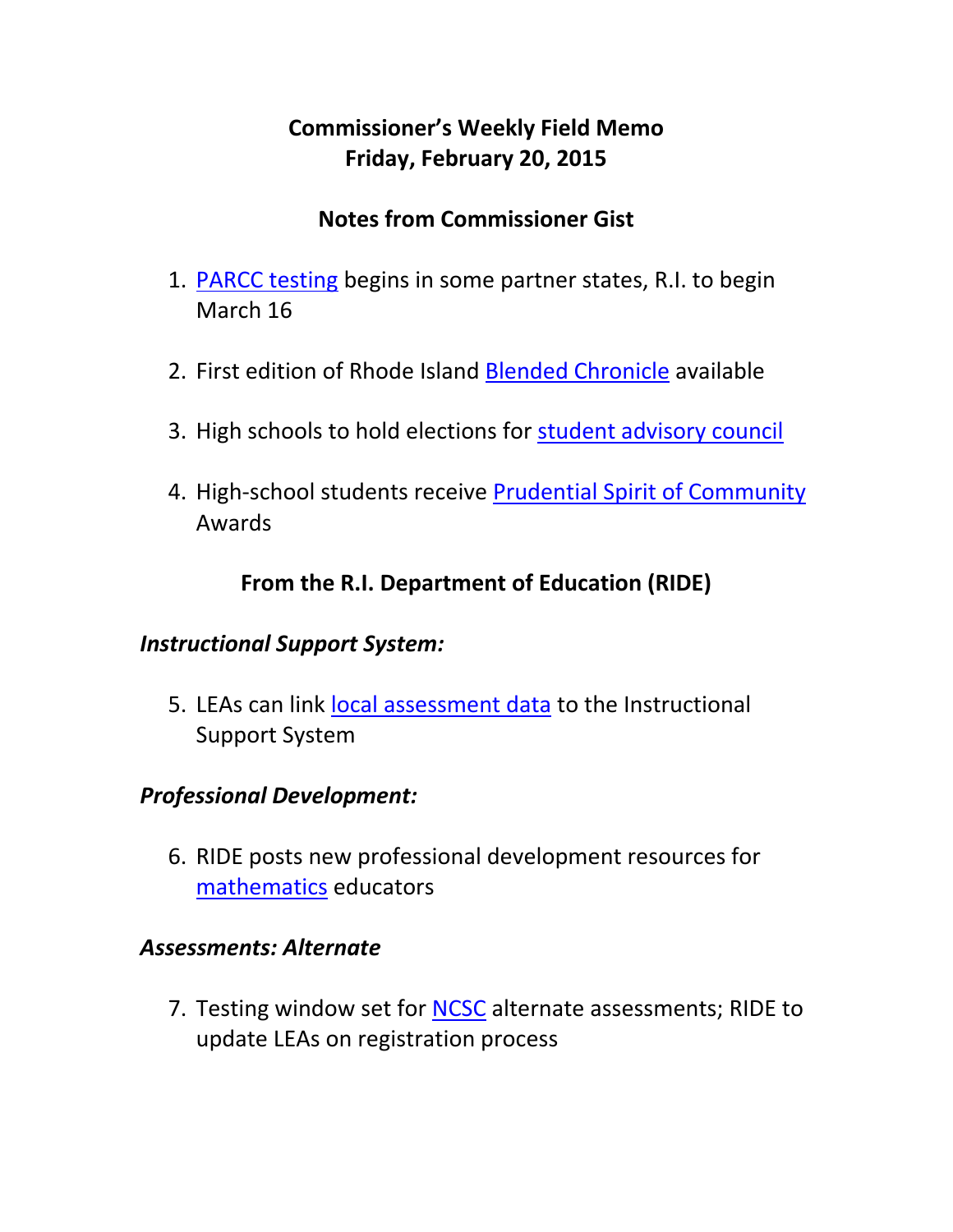# **Commissioner's Weekly Field Memo Friday, February 20, 2015**

### **Notes from Commissioner Gist**

- 1. PARCC testing begins in some partner states, R.I. to begin March 16
- 2. First edition of Rhode Island Blended Chronicle available
- 3. High schools to hold elections for student advisory council
- 4. High-school students receive Prudential Spirit of Community Awards

### **From the R.I. Department of Education (RIDE)**

#### *Instructional Support System:*

5. LEAs can link local assessment data to the Instructional Support System

#### *Professional Development:*

6. RIDE posts new professional development resources for mathematics educators

#### *Assessments: Alternate*

7. Testing window set for NCSC alternate assessments; RIDE to update LEAs on registration process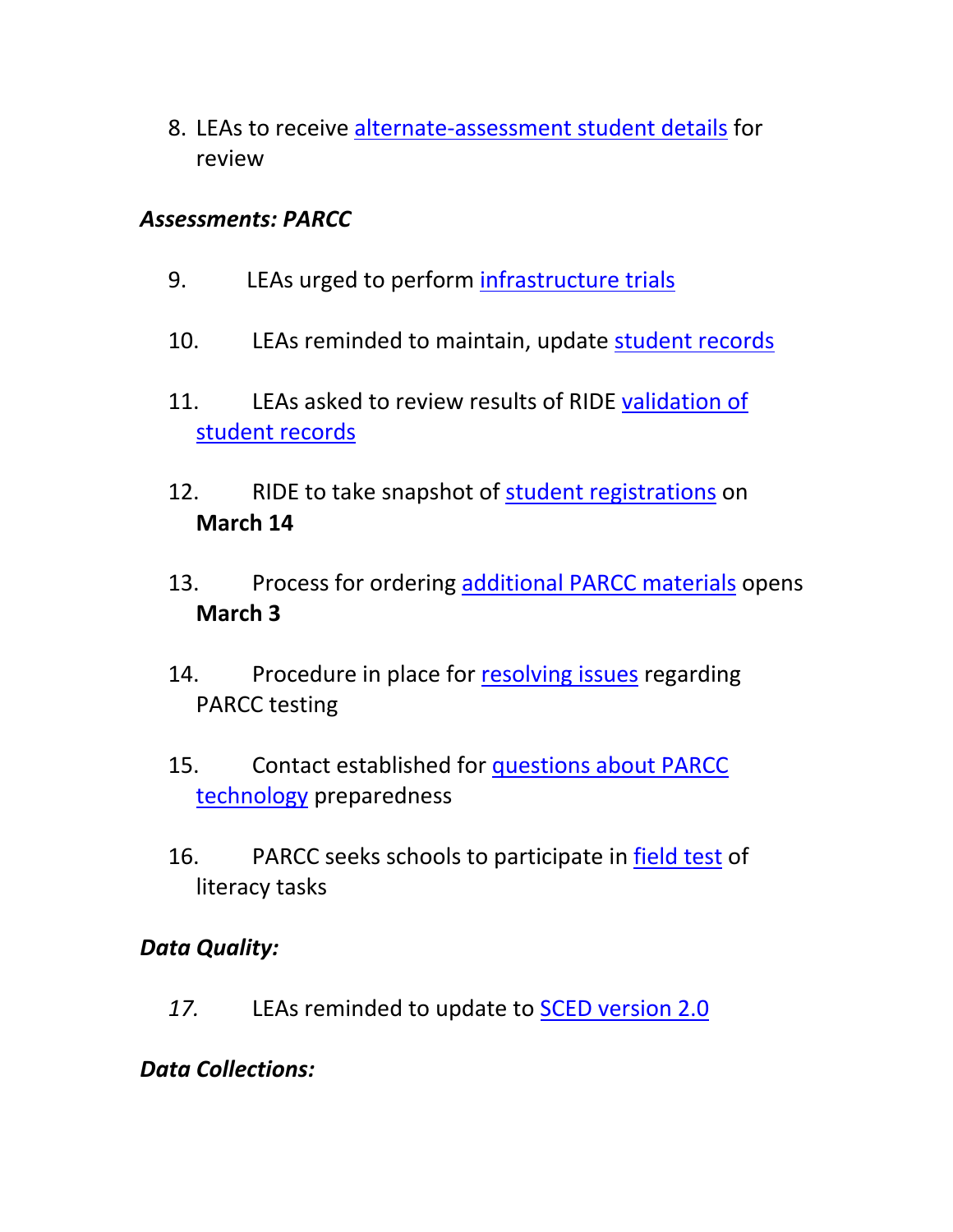8. LEAs to receive alternate‐assessment student details for review

#### *Assessments: PARCC*

- 9. LEAs urged to perform infrastructure trials
- 10. LEAs reminded to maintain, update student records
- 11. LEAs asked to review results of RIDE validation of student records
- 12. RIDE to take snapshot of student registrations on **March 14**
- 13. Process for ordering additional PARCC materials opens **March 3**
- 14. Procedure in place for resolving issues regarding PARCC testing
- 15. Contact established for questions about PARCC technology preparedness
- 16. PARCC seeks schools to participate in field test of literacy tasks

#### *Data Quality:*

*17.* LEAs reminded to update to SCED version 2.0

## *Data Collections:*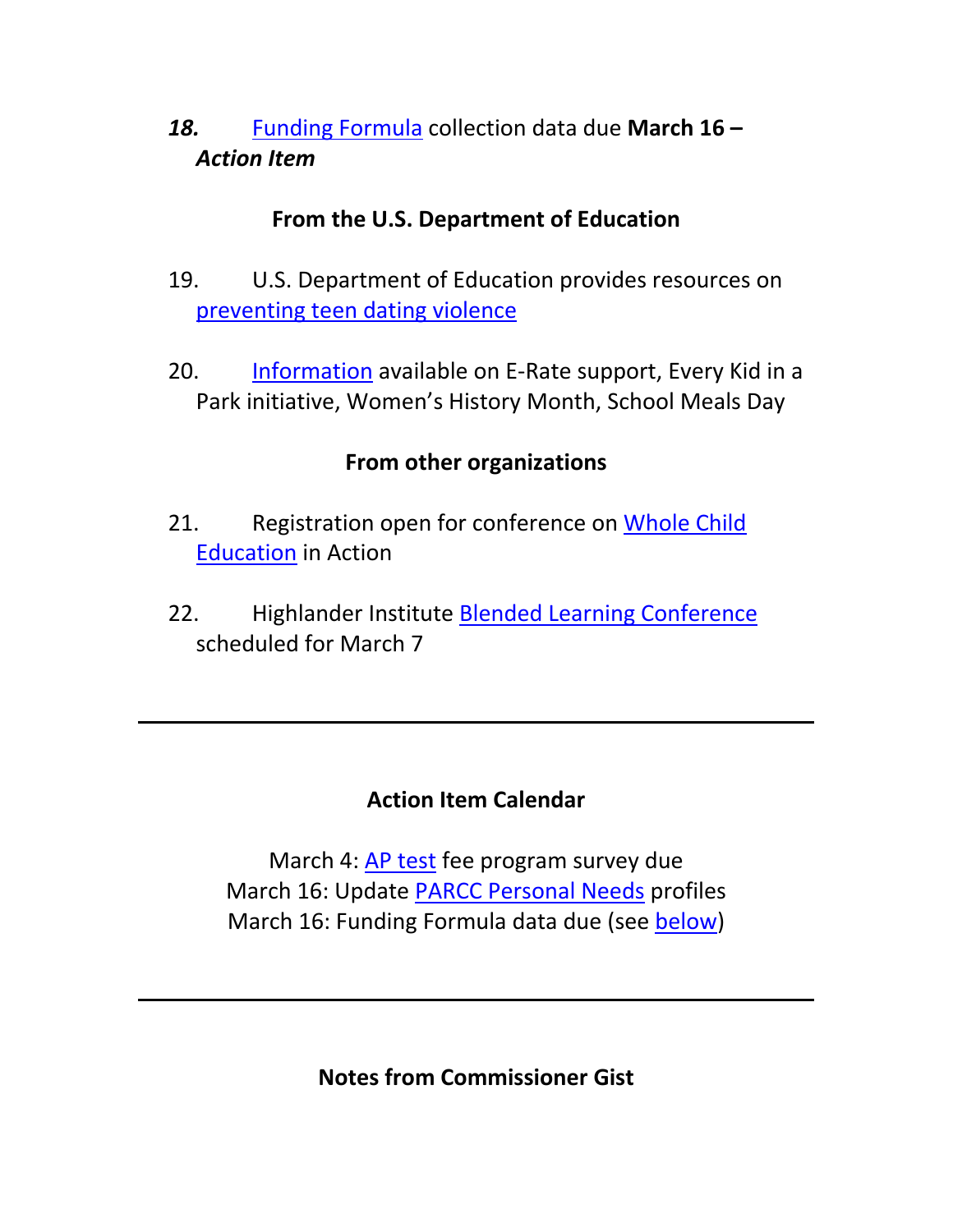*18.* Funding Formula collection data due **March 16 –** *Action Item* 

#### **From the U.S. Department of Education**

- 19. U.S. Department of Education provides resources on preventing teen dating violence
- 20. Information available on E-Rate support, Every Kid in a Park initiative, Women's History Month, School Meals Day

## **From other organizations**

- 21. Registration open for conference on Whole Child Education in Action
- 22. Highlander Institute Blended Learning Conference scheduled for March 7

## **Action Item Calendar**

March 4: AP test fee program survey due March 16: Update PARCC Personal Needs profiles March 16: Funding Formula data due (see below)

**Notes from Commissioner Gist**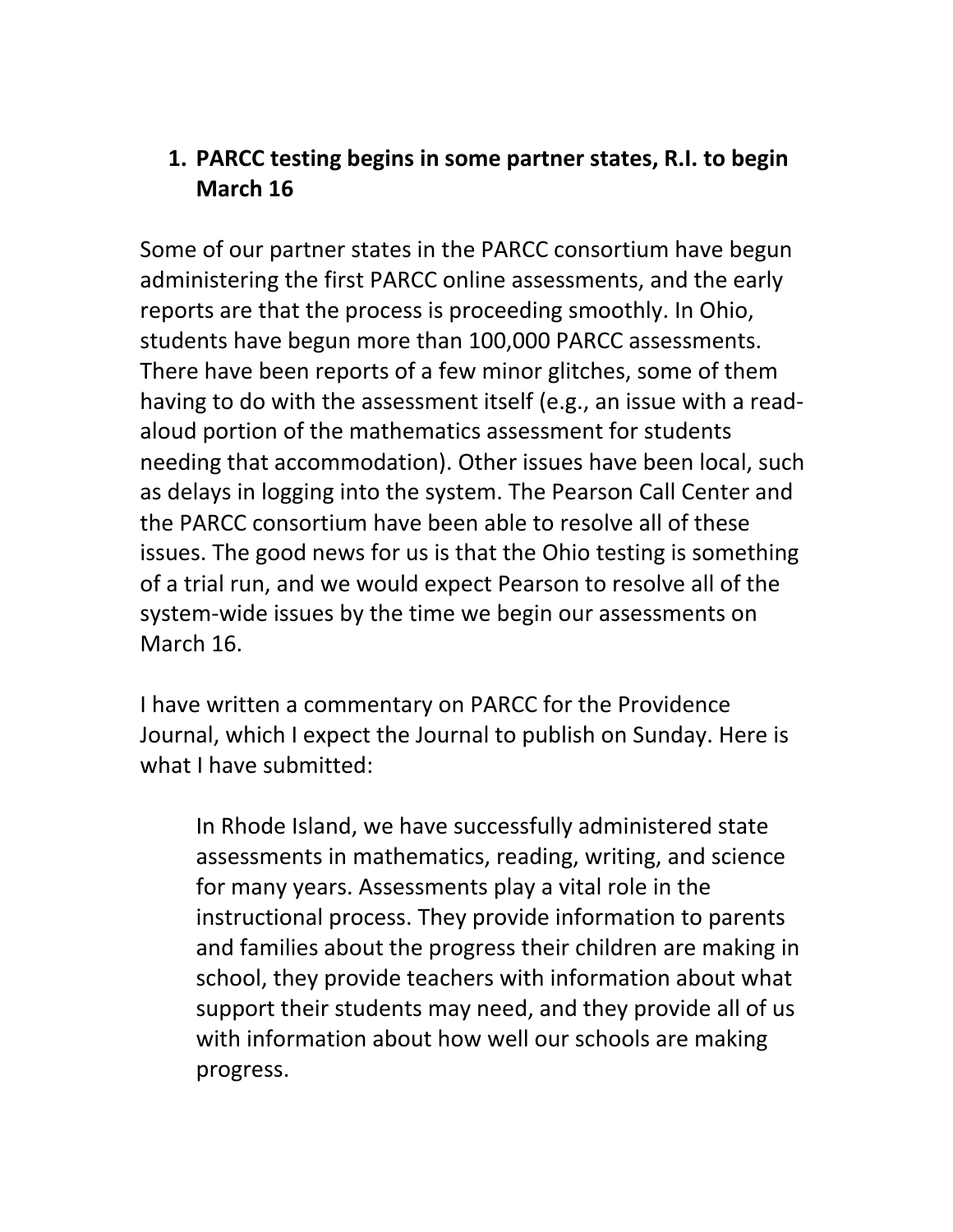### **1. PARCC testing begins in some partner states, R.I. to begin March 16**

Some of our partner states in the PARCC consortium have begun administering the first PARCC online assessments, and the early reports are that the process is proceeding smoothly. In Ohio, students have begun more than 100,000 PARCC assessments. There have been reports of a few minor glitches, some of them having to do with the assessment itself (e.g., an issue with a read‐ aloud portion of the mathematics assessment for students needing that accommodation). Other issues have been local, such as delays in logging into the system. The Pearson Call Center and the PARCC consortium have been able to resolve all of these issues. The good news for us is that the Ohio testing is something of a trial run, and we would expect Pearson to resolve all of the system‐wide issues by the time we begin our assessments on March 16.

I have written a commentary on PARCC for the Providence Journal, which I expect the Journal to publish on Sunday. Here is what I have submitted:

In Rhode Island, we have successfully administered state assessments in mathematics, reading, writing, and science for many years. Assessments play a vital role in the instructional process. They provide information to parents and families about the progress their children are making in school, they provide teachers with information about what support their students may need, and they provide all of us with information about how well our schools are making progress.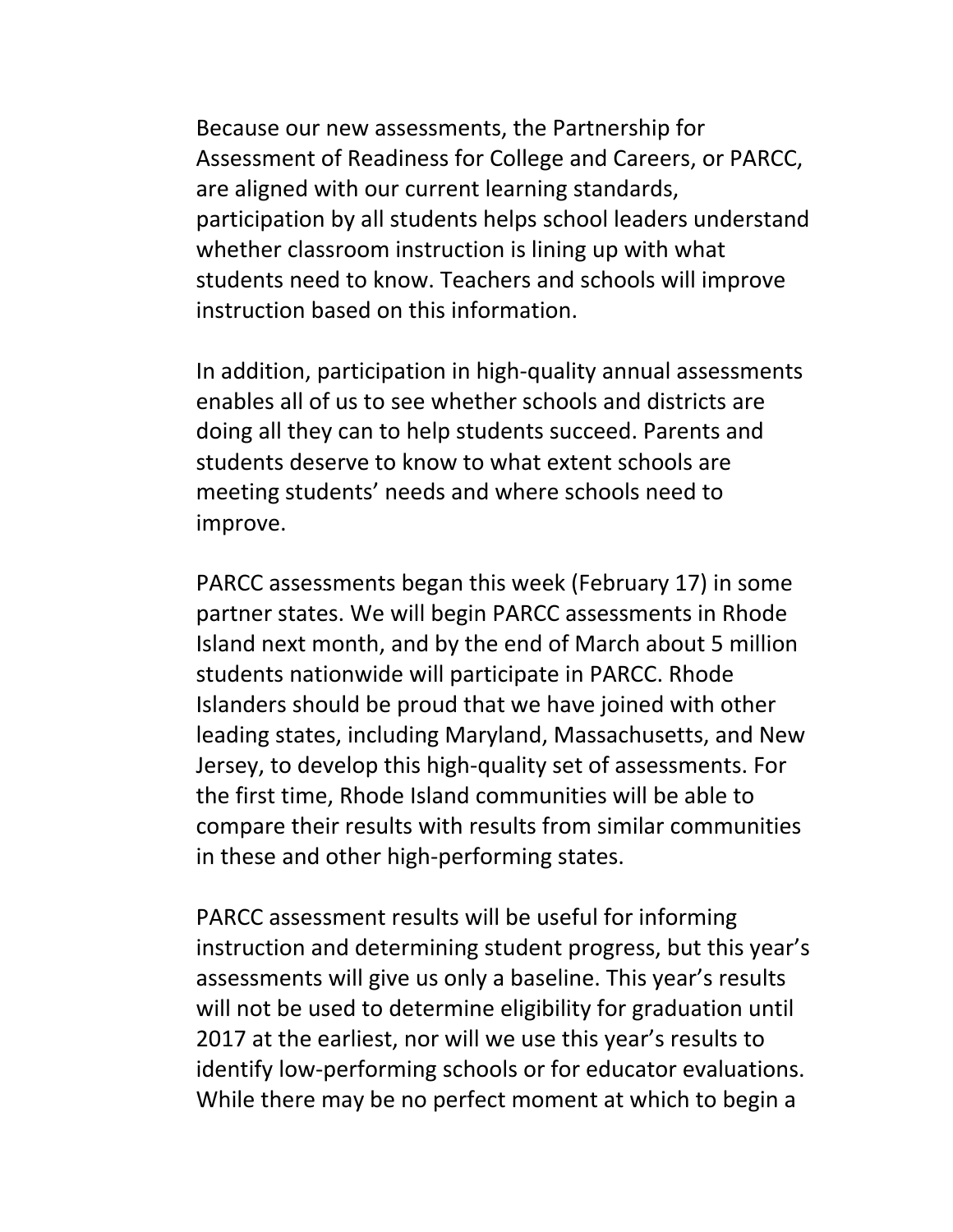Because our new assessments, the Partnership for Assessment of Readiness for College and Careers, or PARCC, are aligned with our current learning standards, participation by all students helps school leaders understand whether classroom instruction is lining up with what students need to know. Teachers and schools will improve instruction based on this information.

In addition, participation in high‐quality annual assessments enables all of us to see whether schools and districts are doing all they can to help students succeed. Parents and students deserve to know to what extent schools are meeting students' needs and where schools need to improve.

PARCC assessments began this week (February 17) in some partner states. We will begin PARCC assessments in Rhode Island next month, and by the end of March about 5 million students nationwide will participate in PARCC. Rhode Islanders should be proud that we have joined with other leading states, including Maryland, Massachusetts, and New Jersey, to develop this high‐quality set of assessments. For the first time, Rhode Island communities will be able to compare their results with results from similar communities in these and other high‐performing states.

PARCC assessment results will be useful for informing instruction and determining student progress, but this year's assessments will give us only a baseline. This year's results will not be used to determine eligibility for graduation until 2017 at the earliest, nor will we use this year's results to identify low‐performing schools or for educator evaluations. While there may be no perfect moment at which to begin a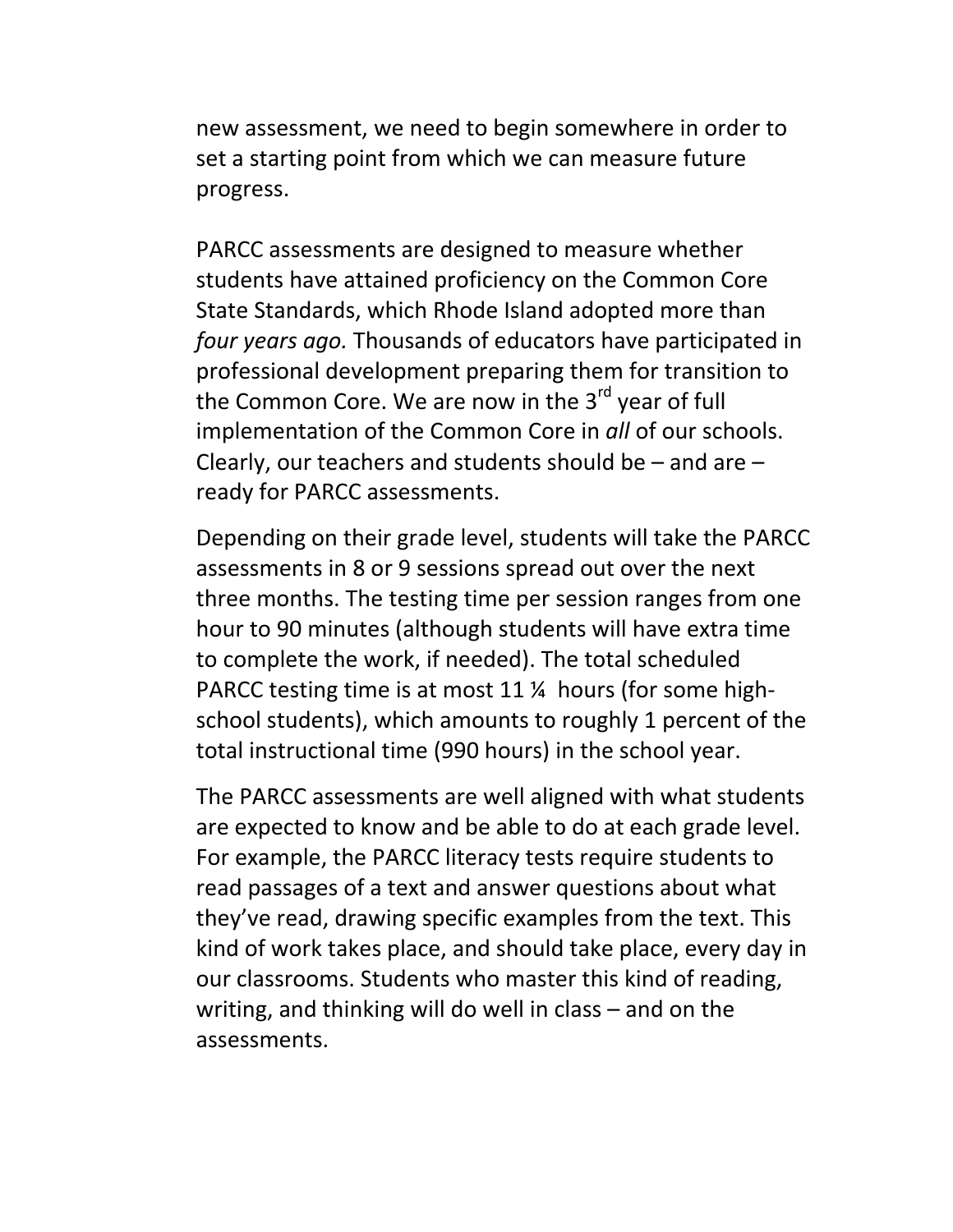new assessment, we need to begin somewhere in order to set a starting point from which we can measure future progress.

PARCC assessments are designed to measure whether students have attained proficiency on the Common Core State Standards, which Rhode Island adopted more than *four years ago.* Thousands of educators have participated in professional development preparing them for transition to the Common Core. We are now in the  $3<sup>rd</sup>$  year of full implementation of the Common Core in *all* of our schools. Clearly, our teachers and students should be – and are – ready for PARCC assessments.

Depending on their grade level, students will take the PARCC assessments in 8 or 9 sessions spread out over the next three months. The testing time per session ranges from one hour to 90 minutes (although students will have extra time to complete the work, if needed). The total scheduled PARCC testing time is at most 11 ¼ hours (for some high‐ school students), which amounts to roughly 1 percent of the total instructional time (990 hours) in the school year.

The PARCC assessments are well aligned with what students are expected to know and be able to do at each grade level. For example, the PARCC literacy tests require students to read passages of a text and answer questions about what they've read, drawing specific examples from the text. This kind of work takes place, and should take place, every day in our classrooms. Students who master this kind of reading, writing, and thinking will do well in class – and on the assessments.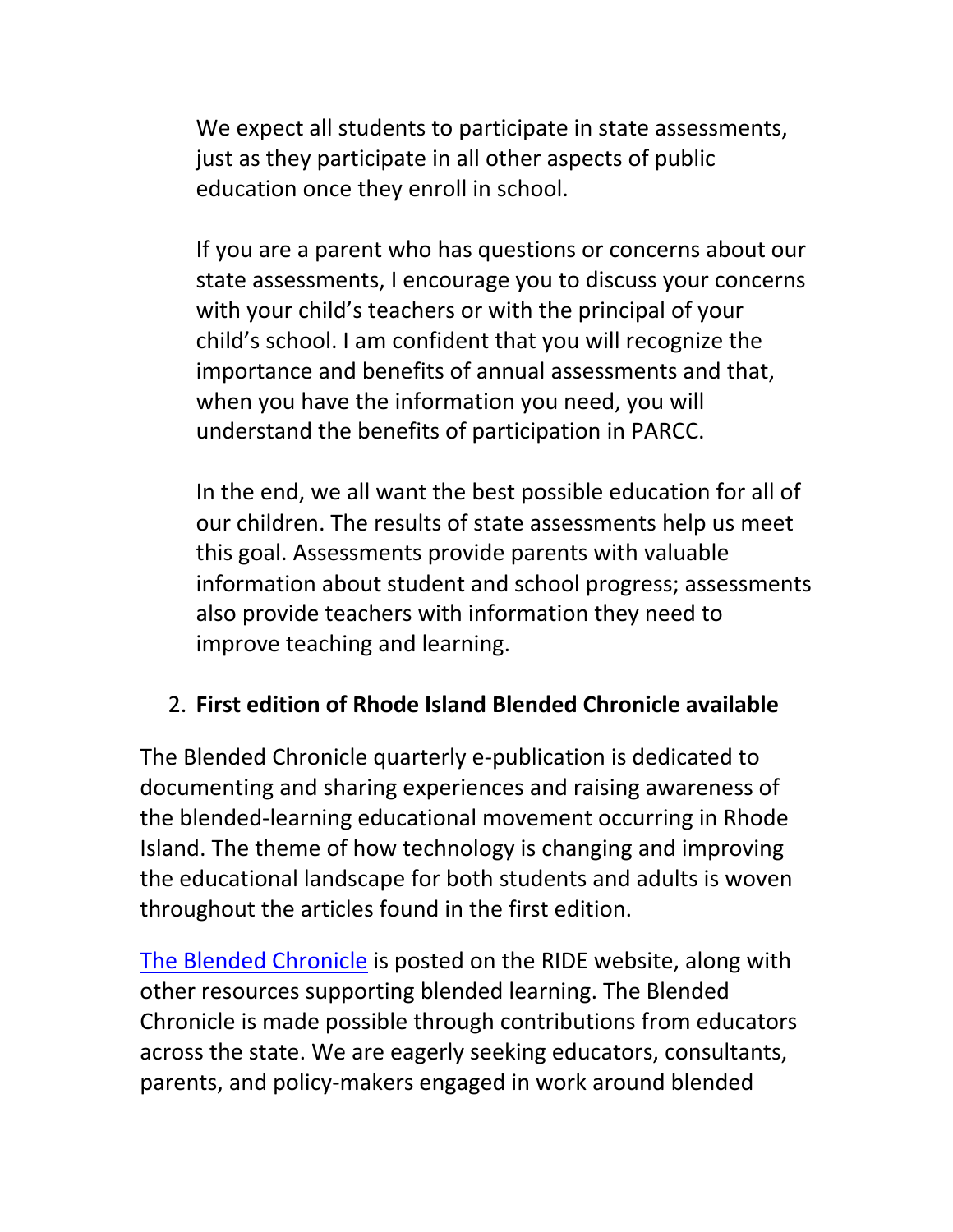We expect all students to participate in state assessments, just as they participate in all other aspects of public education once they enroll in school.

If you are a parent who has questions or concerns about our state assessments, I encourage you to discuss your concerns with your child's teachers or with the principal of your child's school. I am confident that you will recognize the importance and benefits of annual assessments and that, when you have the information you need, you will understand the benefits of participation in PARCC.

In the end, we all want the best possible education for all of our children. The results of state assessments help us meet this goal. Assessments provide parents with valuable information about student and school progress; assessments also provide teachers with information they need to improve teaching and learning.

#### 2. **First edition of Rhode Island Blended Chronicle available**

The Blended Chronicle quarterly e‐publication is dedicated to documenting and sharing experiences and raising awareness of the blended‐learning educational movement occurring in Rhode Island. The theme of how technology is changing and improving the educational landscape for both students and adults is woven throughout the articles found in the first edition.

The Blended Chronicle is posted on the RIDE website, along with other resources supporting blended learning. The Blended Chronicle is made possible through contributions from educators across the state. We are eagerly seeking educators, consultants, parents, and policy‐makers engaged in work around blended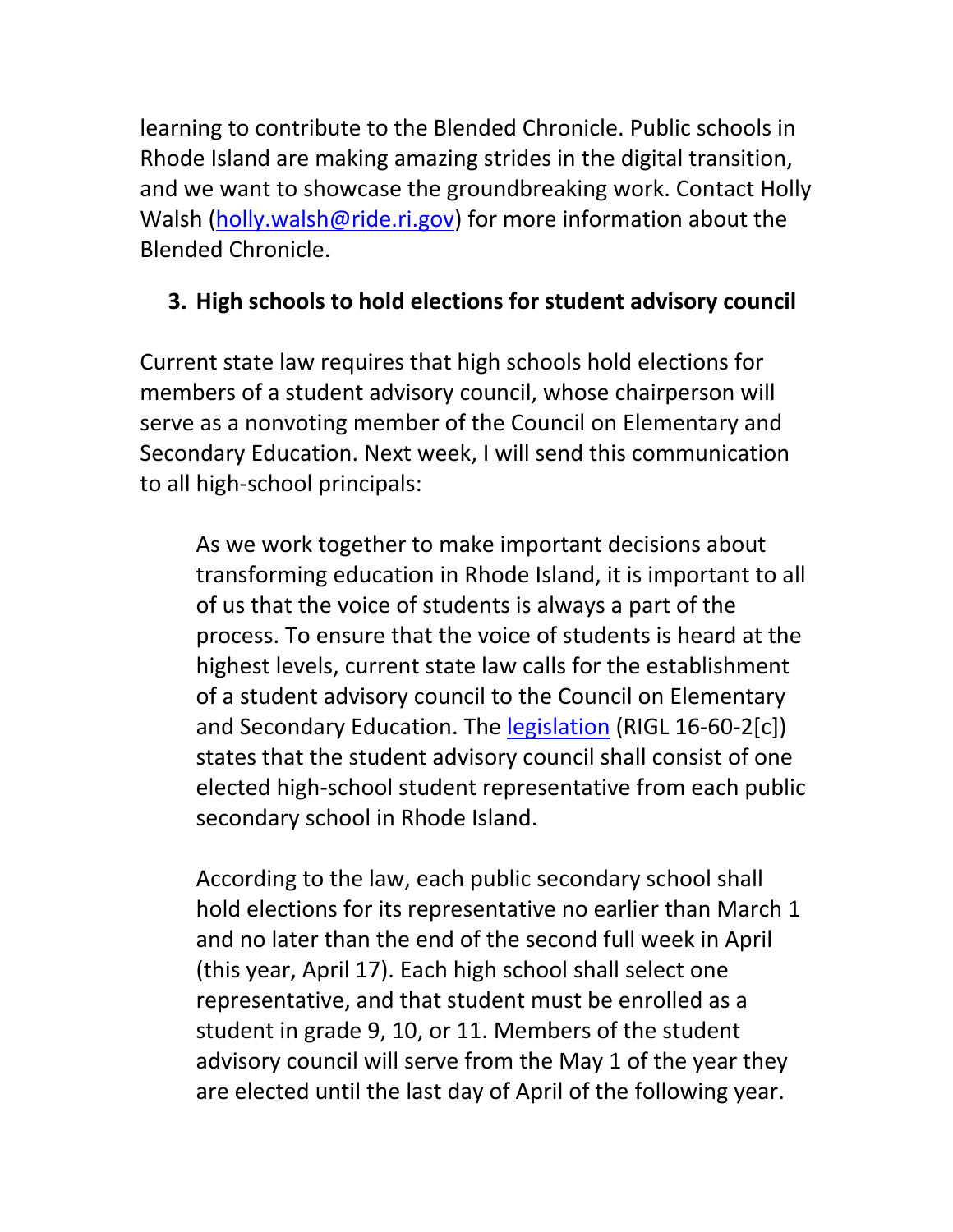learning to contribute to the Blended Chronicle. Public schools in Rhode Island are making amazing strides in the digital transition, and we want to showcase the groundbreaking work. Contact Holly Walsh (holly.walsh@ride.ri.gov) for more information about the Blended Chronicle.

### **3. High schools to hold elections for student advisory council**

Current state law requires that high schools hold elections for members of a student advisory council, whose chairperson will serve as a nonvoting member of the Council on Elementary and Secondary Education. Next week, I will send this communication to all high‐school principals:

As we work together to make important decisions about transforming education in Rhode Island, it is important to all of us that the voice of students is always a part of the process. To ensure that the voice of students is heard at the highest levels, current state law calls for the establishment of a student advisory council to the Council on Elementary and Secondary Education. The legislation (RIGL 16‐60‐2[c]) states that the student advisory council shall consist of one elected high‐school student representative from each public secondary school in Rhode Island.

According to the law, each public secondary school shall hold elections for its representative no earlier than March 1 and no later than the end of the second full week in April (this year, April 17). Each high school shall select one representative, and that student must be enrolled as a student in grade 9, 10, or 11. Members of the student advisory council will serve from the May 1 of the year they are elected until the last day of April of the following year.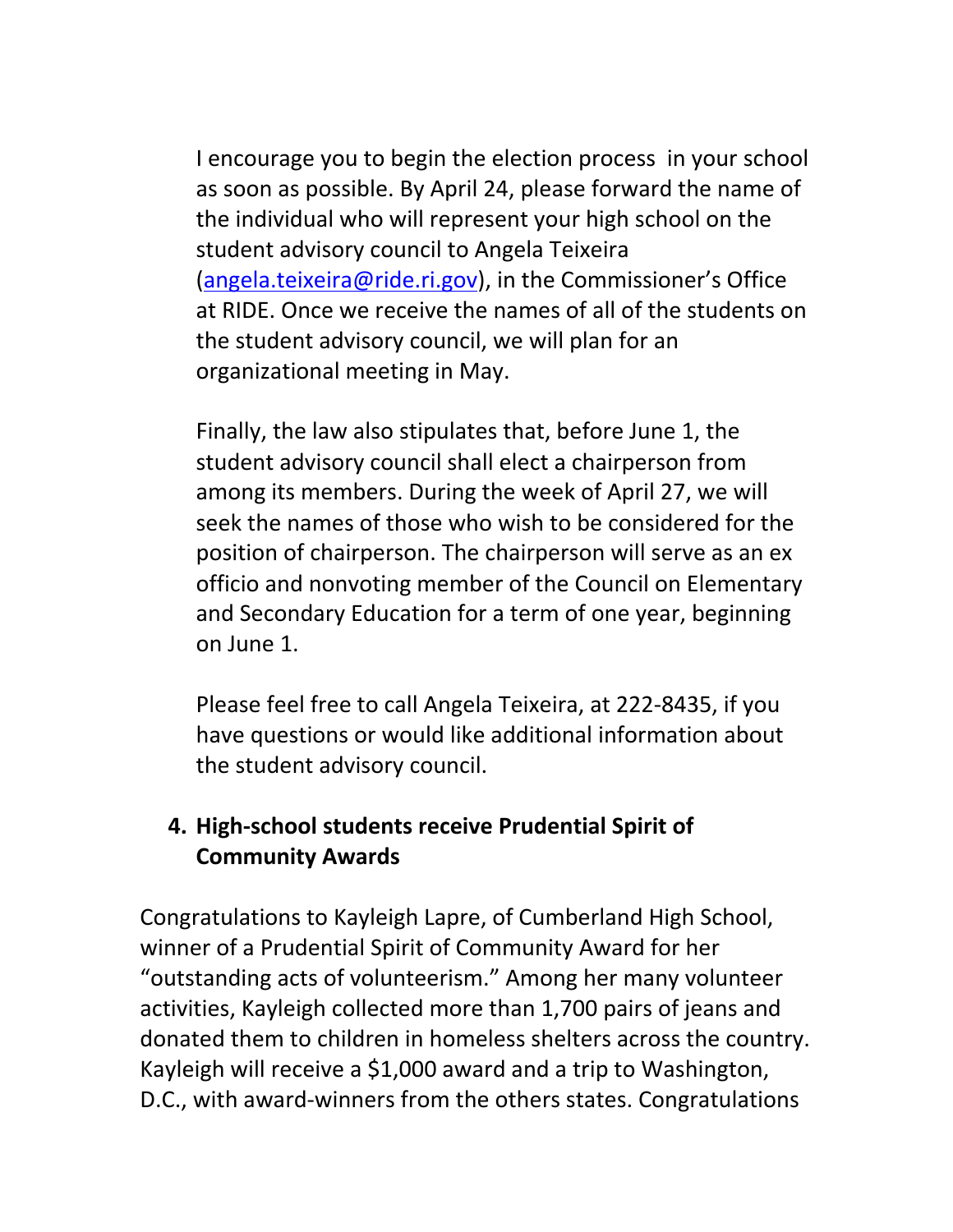I encourage you to begin the election process in your school as soon as possible. By April 24, please forward the name of the individual who will represent your high school on the student advisory council to Angela Teixeira (angela.teixeira@ride.ri.gov), in the Commissioner's Office at RIDE. Once we receive the names of all of the students on the student advisory council, we will plan for an organizational meeting in May.

Finally, the law also stipulates that, before June 1, the student advisory council shall elect a chairperson from among its members. During the week of April 27, we will seek the names of those who wish to be considered for the position of chairperson. The chairperson will serve as an ex officio and nonvoting member of the Council on Elementary and Secondary Education for a term of one year, beginning on June 1.

Please feel free to call Angela Teixeira, at 222‐8435, if you have questions or would like additional information about the student advisory council.

## **4. High‐school students receive Prudential Spirit of Community Awards**

Congratulations to Kayleigh Lapre, of Cumberland High School, winner of a Prudential Spirit of Community Award for her "outstanding acts of volunteerism." Among her many volunteer activities, Kayleigh collected more than 1,700 pairs of jeans and donated them to children in homeless shelters across the country. Kayleigh will receive a \$1,000 award and a trip to Washington, D.C., with award‐winners from the others states. Congratulations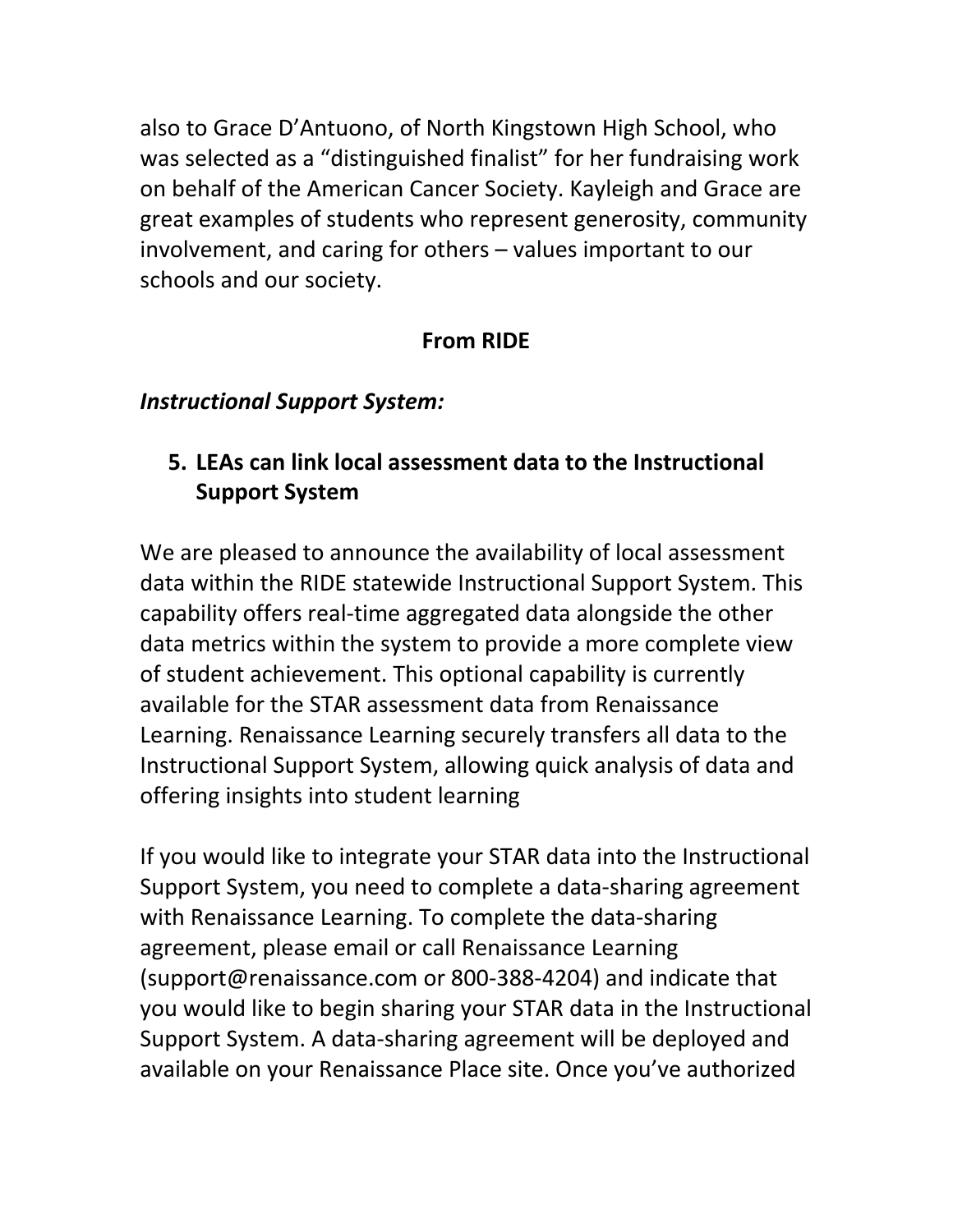also to Grace D'Antuono, of North Kingstown High School, who was selected as a "distinguished finalist" for her fundraising work on behalf of the American Cancer Society. Kayleigh and Grace are great examples of students who represent generosity, community involvement, and caring for others – values important to our schools and our society.

#### **From RIDE**

#### *Instructional Support System:*

## **5. LEAs can link local assessment data to the Instructional Support System**

We are pleased to announce the availability of local assessment data within the RIDE statewide Instructional Support System. This capability offers real‐time aggregated data alongside the other data metrics within the system to provide a more complete view of student achievement. This optional capability is currently available for the STAR assessment data from Renaissance Learning. Renaissance Learning securely transfers all data to the Instructional Support System, allowing quick analysis of data and offering insights into student learning

If you would like to integrate your STAR data into the Instructional Support System, you need to complete a data‐sharing agreement with Renaissance Learning. To complete the data‐sharing agreement, please email or call Renaissance Learning (support@renaissance.com or 800‐388‐4204) and indicate that you would like to begin sharing your STAR data in the Instructional Support System. A data‐sharing agreement will be deployed and available on your Renaissance Place site. Once you've authorized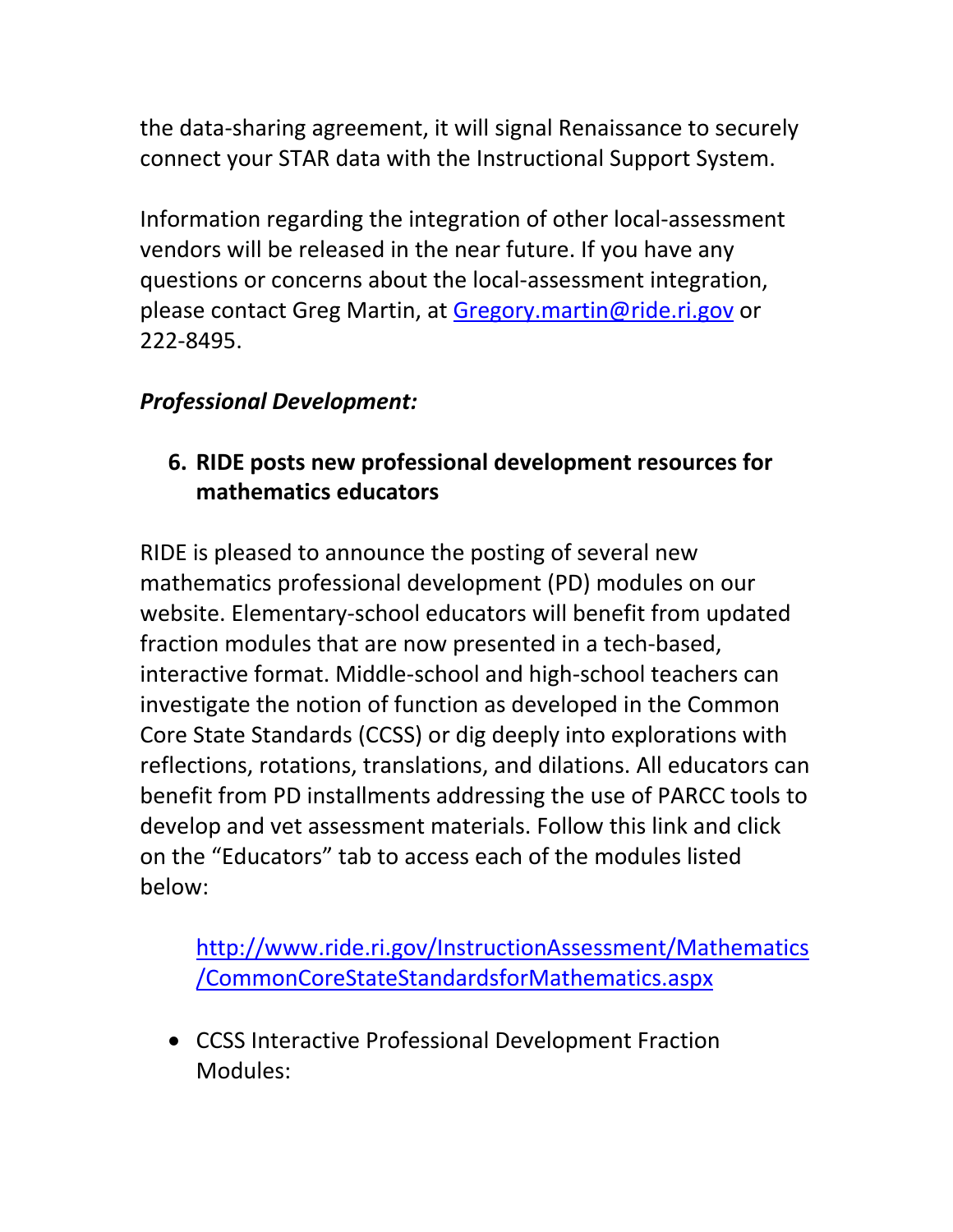the data‐sharing agreement, it will signal Renaissance to securely connect your STAR data with the Instructional Support System.

Information regarding the integration of other local‐assessment vendors will be released in the near future. If you have any questions or concerns about the local‐assessment integration, please contact Greg Martin, at Gregory.martin@ride.ri.gov or 222‐8495.

# *Professional Development:*

# **6. RIDE posts new professional development resources for mathematics educators**

RIDE is pleased to announce the posting of several new mathematics professional development (PD) modules on our website. Elementary‐school educators will benefit from updated fraction modules that are now presented in a tech‐based, interactive format. Middle‐school and high‐school teachers can investigate the notion of function as developed in the Common Core State Standards (CCSS) or dig deeply into explorations with reflections, rotations, translations, and dilations. All educators can benefit from PD installments addressing the use of PARCC tools to develop and vet assessment materials. Follow this link and click on the "Educators" tab to access each of the modules listed below:

http://www.ride.ri.gov/InstructionAssessment/Mathematics /CommonCoreStateStandardsforMathematics.aspx

 CCSS Interactive Professional Development Fraction Modules: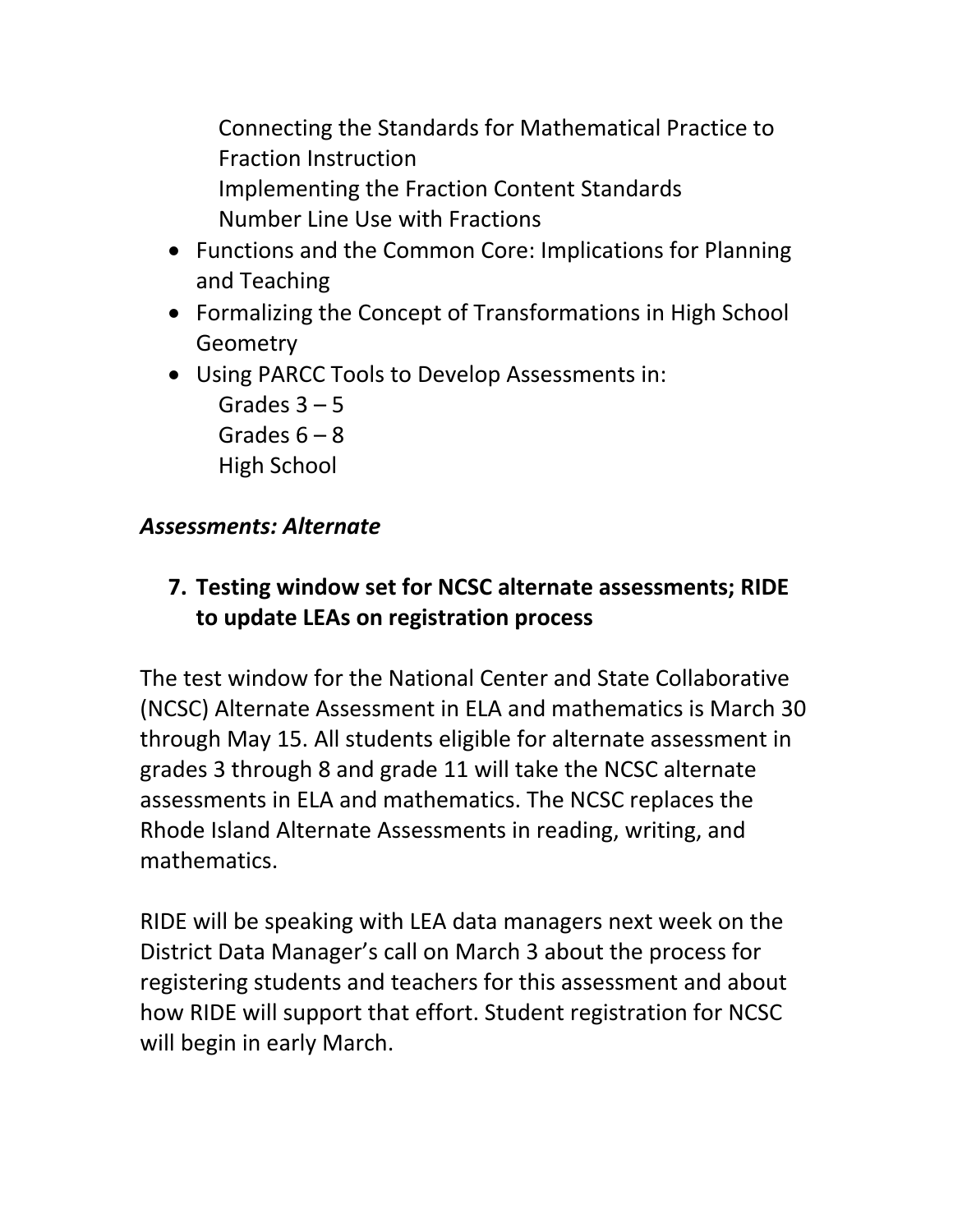Connecting the Standards for Mathematical Practice to Fraction Instruction Implementing the Fraction Content Standards Number Line Use with Fractions

- Functions and the Common Core: Implications for Planning and Teaching
- Formalizing the Concept of Transformations in High School **Geometry**
- Using PARCC Tools to Develop Assessments in:
	- Grades  $3 5$ Grades  $6 - 8$ High School

## *Assessments: Alternate*

**7. Testing window set for NCSC alternate assessments; RIDE to update LEAs on registration process**

The test window for the National Center and State Collaborative (NCSC) Alternate Assessment in ELA and mathematics is March 30 through May 15. All students eligible for alternate assessment in grades 3 through 8 and grade 11 will take the NCSC alternate assessments in ELA and mathematics. The NCSC replaces the Rhode Island Alternate Assessments in reading, writing, and mathematics.

RIDE will be speaking with LEA data managers next week on the District Data Manager's call on March 3 about the process for registering students and teachers for this assessment and about how RIDE will support that effort. Student registration for NCSC will begin in early March.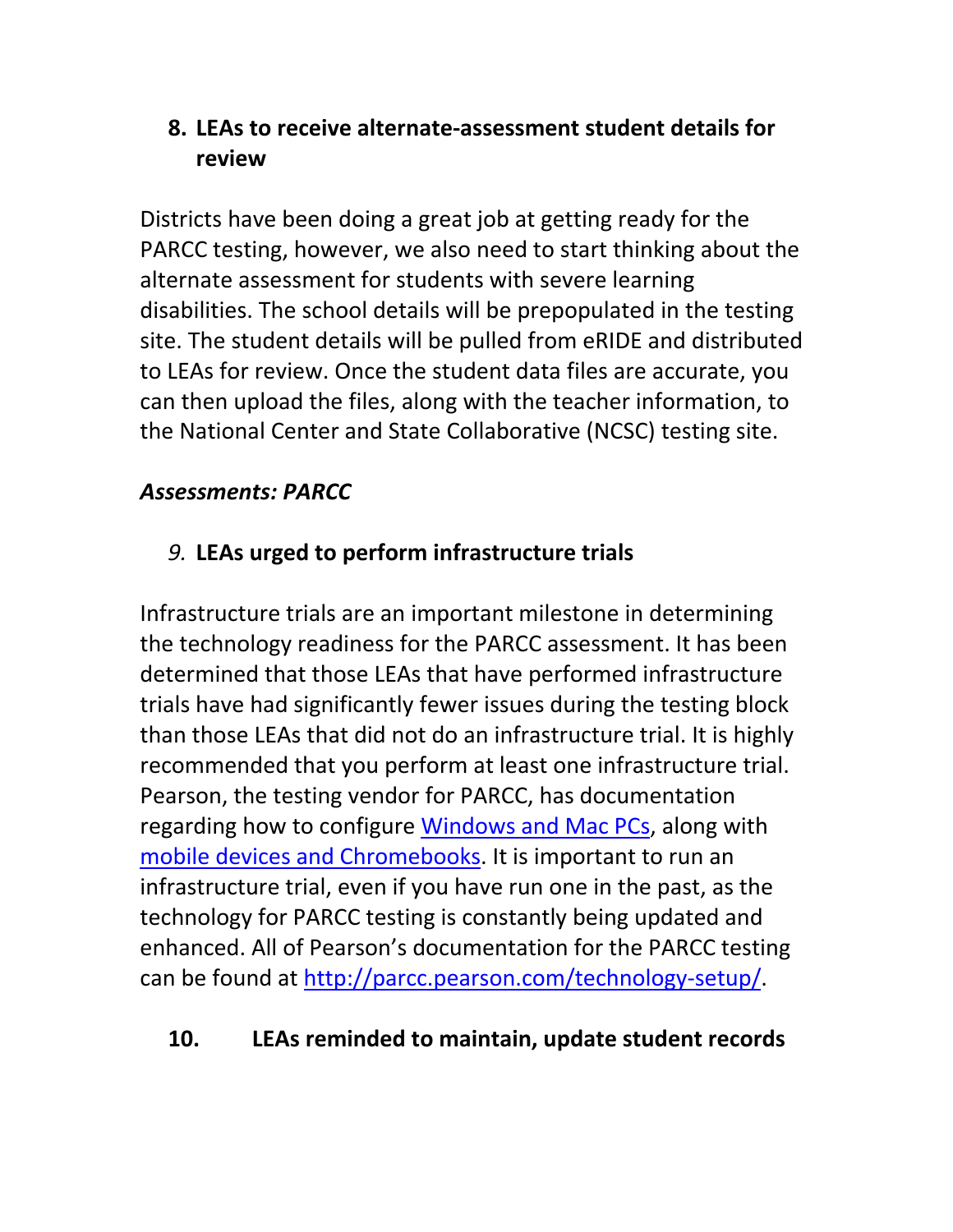# **8. LEAs to receive alternate‐assessment student details for review**

Districts have been doing a great job at getting ready for the PARCC testing, however, we also need to start thinking about the alternate assessment for students with severe learning disabilities. The school details will be prepopulated in the testing site. The student details will be pulled from eRIDE and distributed to LEAs for review. Once the student data files are accurate, you can then upload the files, along with the teacher information, to the National Center and State Collaborative (NCSC) testing site.

# *Assessments: PARCC*

# *9.* **LEAs urged to perform infrastructure trials**

Infrastructure trials are an important milestone in determining the technology readiness for the PARCC assessment. It has been determined that those LEAs that have performed infrastructure trials have had significantly fewer issues during the testing block than those LEAs that did not do an infrastructure trial. It is highly recommended that you perform at least one infrastructure trial. Pearson, the testing vendor for PARCC, has documentation regarding how to configure Windows and Mac PCs, along with mobile devices and Chromebooks. It is important to run an infrastructure trial, even if you have run one in the past, as the technology for PARCC testing is constantly being updated and enhanced. All of Pearson's documentation for the PARCC testing can be found at http://parcc.pearson.com/technology‐setup/.

## **10. LEAs reminded to maintain, update student records**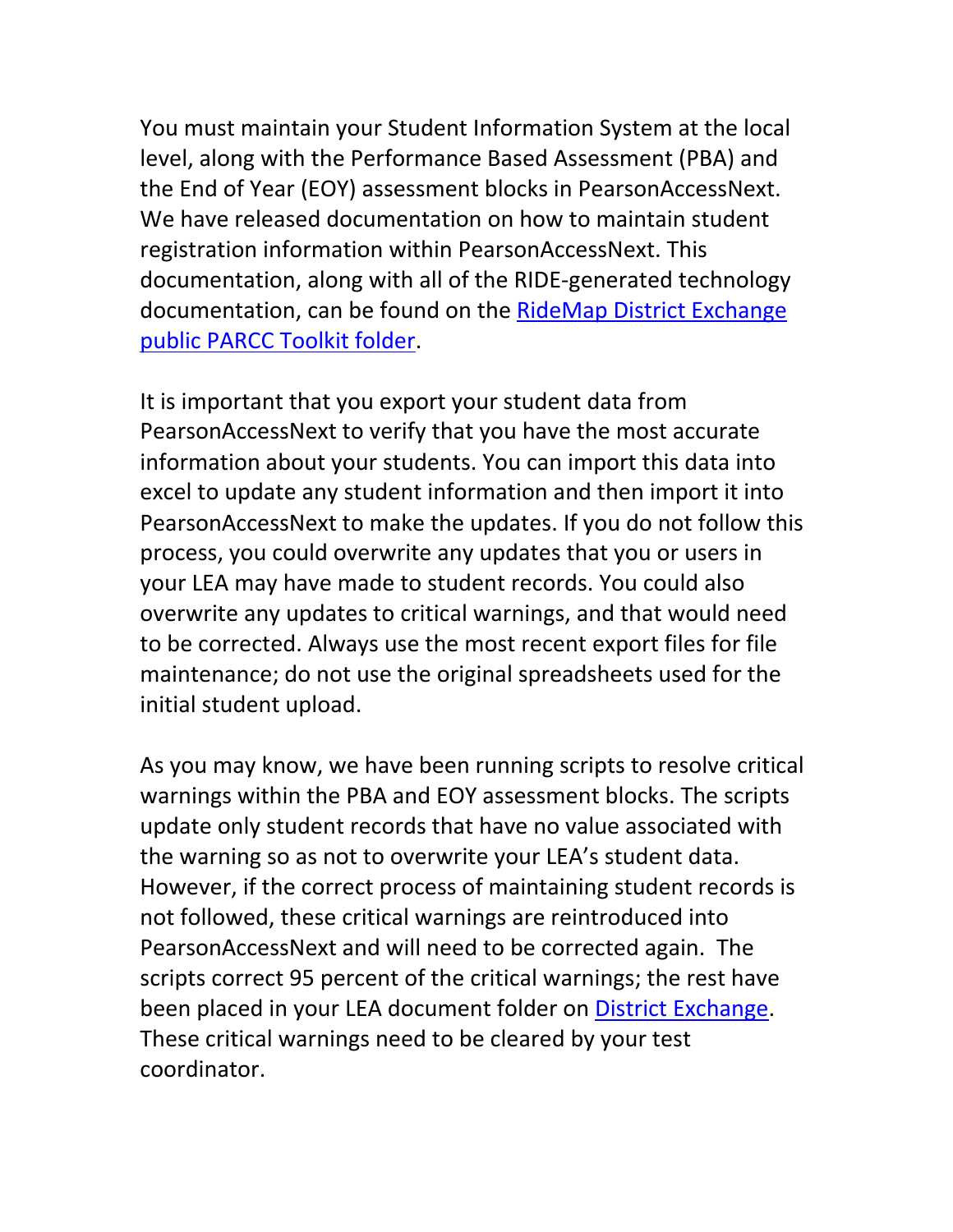You must maintain your Student Information System at the local level, along with the Performance Based Assessment (PBA) and the End of Year (EOY) assessment blocks in PearsonAccessNext. We have released documentation on how to maintain student registration information within PearsonAccessNext. This documentation, along with all of the RIDE‐generated technology documentation, can be found on the RideMap District Exchange public PARCC Toolkit folder.

It is important that you export your student data from PearsonAccessNext to verify that you have the most accurate information about your students. You can import this data into excel to update any student information and then import it into PearsonAccessNext to make the updates. If you do not follow this process, you could overwrite any updates that you or users in your LEA may have made to student records. You could also overwrite any updates to critical warnings, and that would need to be corrected. Always use the most recent export files for file maintenance; do not use the original spreadsheets used for the initial student upload.

As you may know, we have been running scripts to resolve critical warnings within the PBA and EOY assessment blocks. The scripts update only student records that have no value associated with the warning so as not to overwrite your LEA's student data. However, if the correct process of maintaining student records is not followed, these critical warnings are reintroduced into PearsonAccessNext and will need to be corrected again. The scripts correct 95 percent of the critical warnings; the rest have been placed in your LEA document folder on District Exchange. These critical warnings need to be cleared by your test coordinator.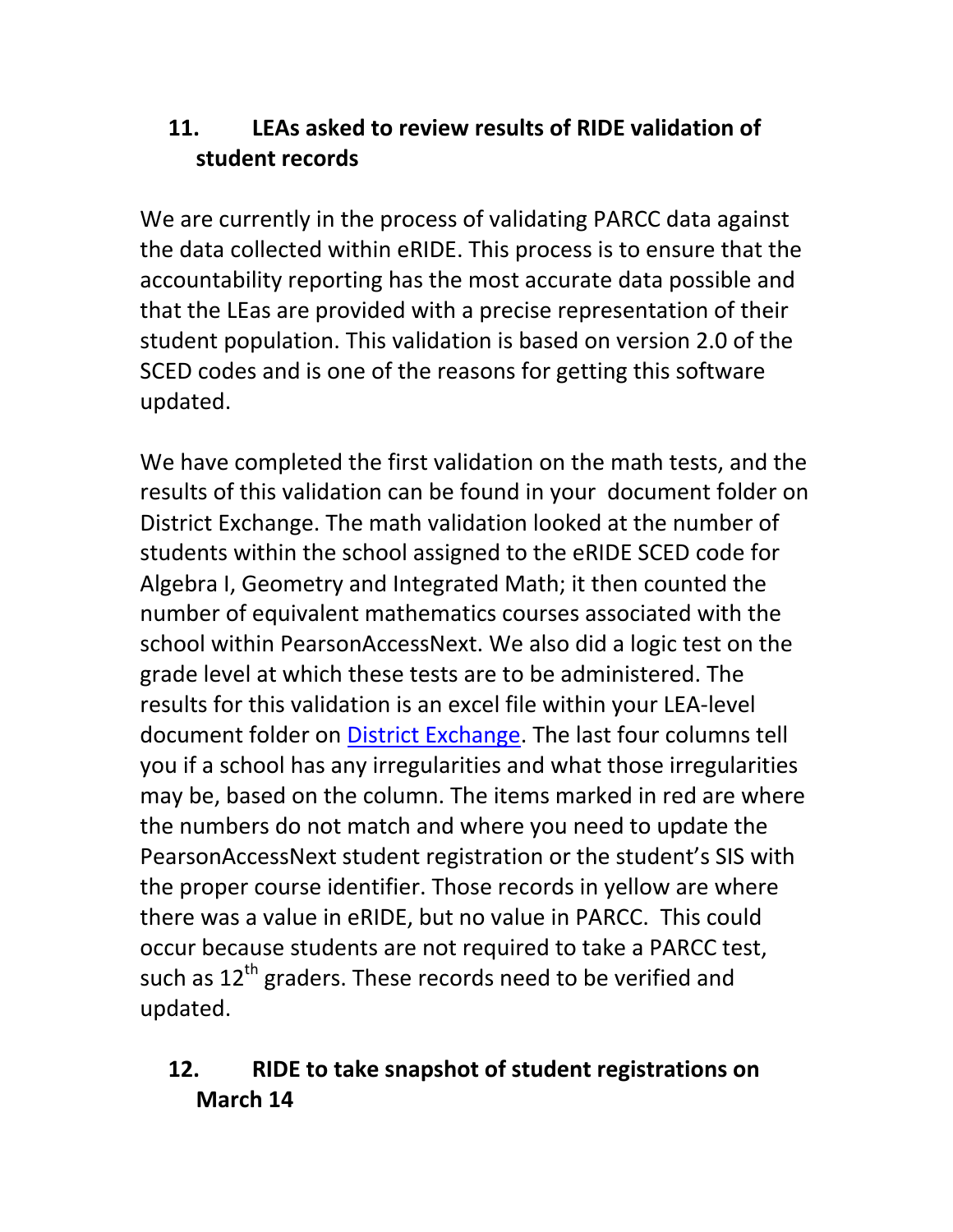# **11. LEAs asked to review results of RIDE validation of student records**

We are currently in the process of validating PARCC data against the data collected within eRIDE. This process is to ensure that the accountability reporting has the most accurate data possible and that the LEas are provided with a precise representation of their student population. This validation is based on version 2.0 of the SCED codes and is one of the reasons for getting this software updated.

We have completed the first validation on the math tests, and the results of this validation can be found in your document folder on District Exchange. The math validation looked at the number of students within the school assigned to the eRIDE SCED code for Algebra I, Geometry and Integrated Math; it then counted the number of equivalent mathematics courses associated with the school within PearsonAccessNext. We also did a logic test on the grade level at which these tests are to be administered. The results for this validation is an excel file within your LEA‐level document folder on District Exchange. The last four columns tell you if a school has any irregularities and what those irregularities may be, based on the column. The items marked in red are where the numbers do not match and where you need to update the PearsonAccessNext student registration or the student's SIS with the proper course identifier. Those records in yellow are where there was a value in eRIDE, but no value in PARCC. This could occur because students are not required to take a PARCC test, such as  $12^{th}$  graders. These records need to be verified and updated.

# **12. RIDE to take snapshot of student registrations on March 14**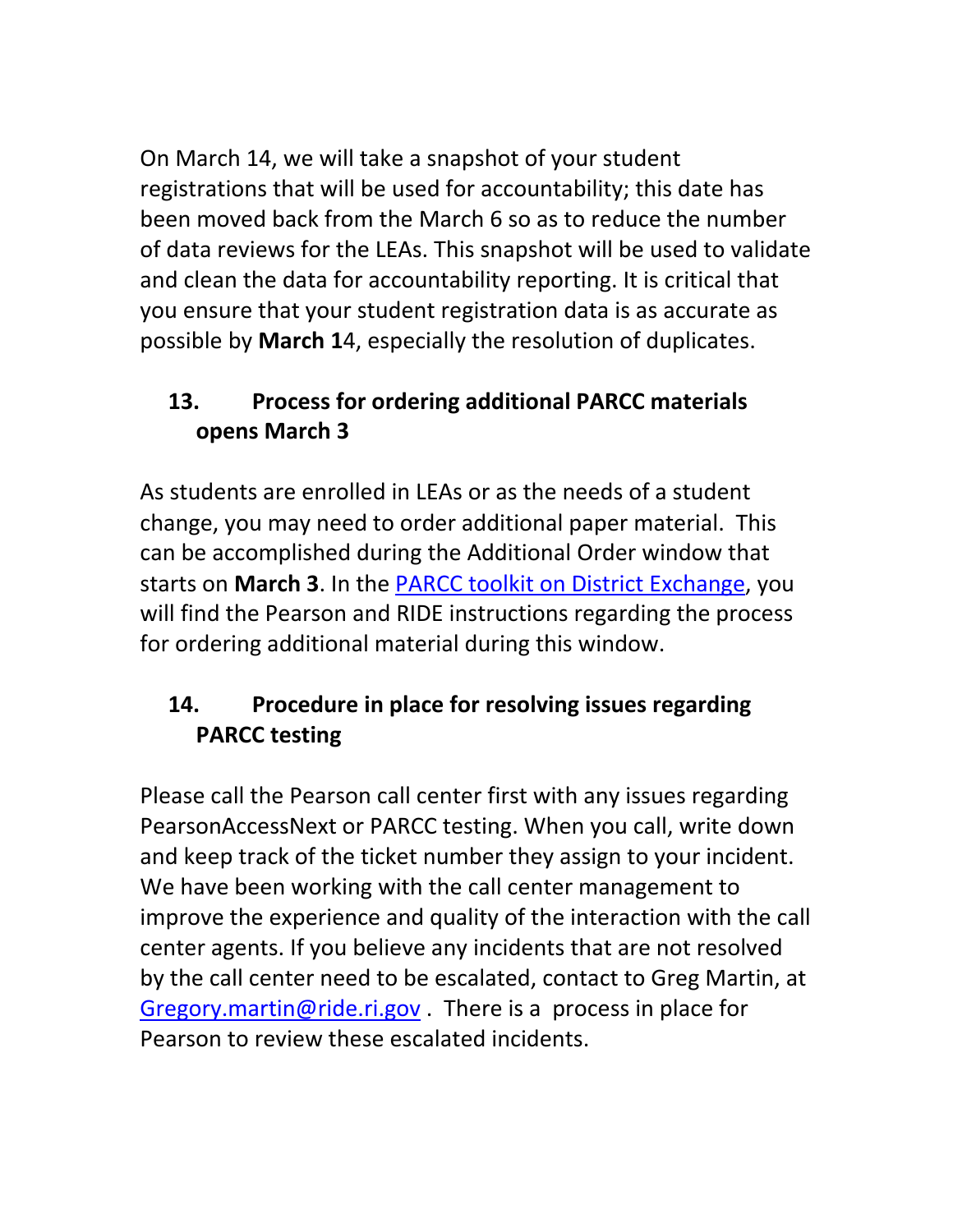On March 14, we will take a snapshot of your student registrations that will be used for accountability; this date has been moved back from the March 6 so as to reduce the number of data reviews for the LEAs. This snapshot will be used to validate and clean the data for accountability reporting. It is critical that you ensure that your student registration data is as accurate as possible by **March 1**4, especially the resolution of duplicates.

# **13. Process for ordering additional PARCC materials opens March 3**

As students are enrolled in LEAs or as the needs of a student change, you may need to order additional paper material. This can be accomplished during the Additional Order window that starts on **March 3**. In the PARCC toolkit on District Exchange, you will find the Pearson and RIDE instructions regarding the process for ordering additional material during this window.

# **14. Procedure in place for resolving issues regarding PARCC testing**

Please call the Pearson call center first with any issues regarding PearsonAccessNext or PARCC testing. When you call, write down and keep track of the ticket number they assign to your incident. We have been working with the call center management to improve the experience and quality of the interaction with the call center agents. If you believe any incidents that are not resolved by the call center need to be escalated, contact to Greg Martin, at Gregory.martin@ride.ri.gov . There is a process in place for Pearson to review these escalated incidents.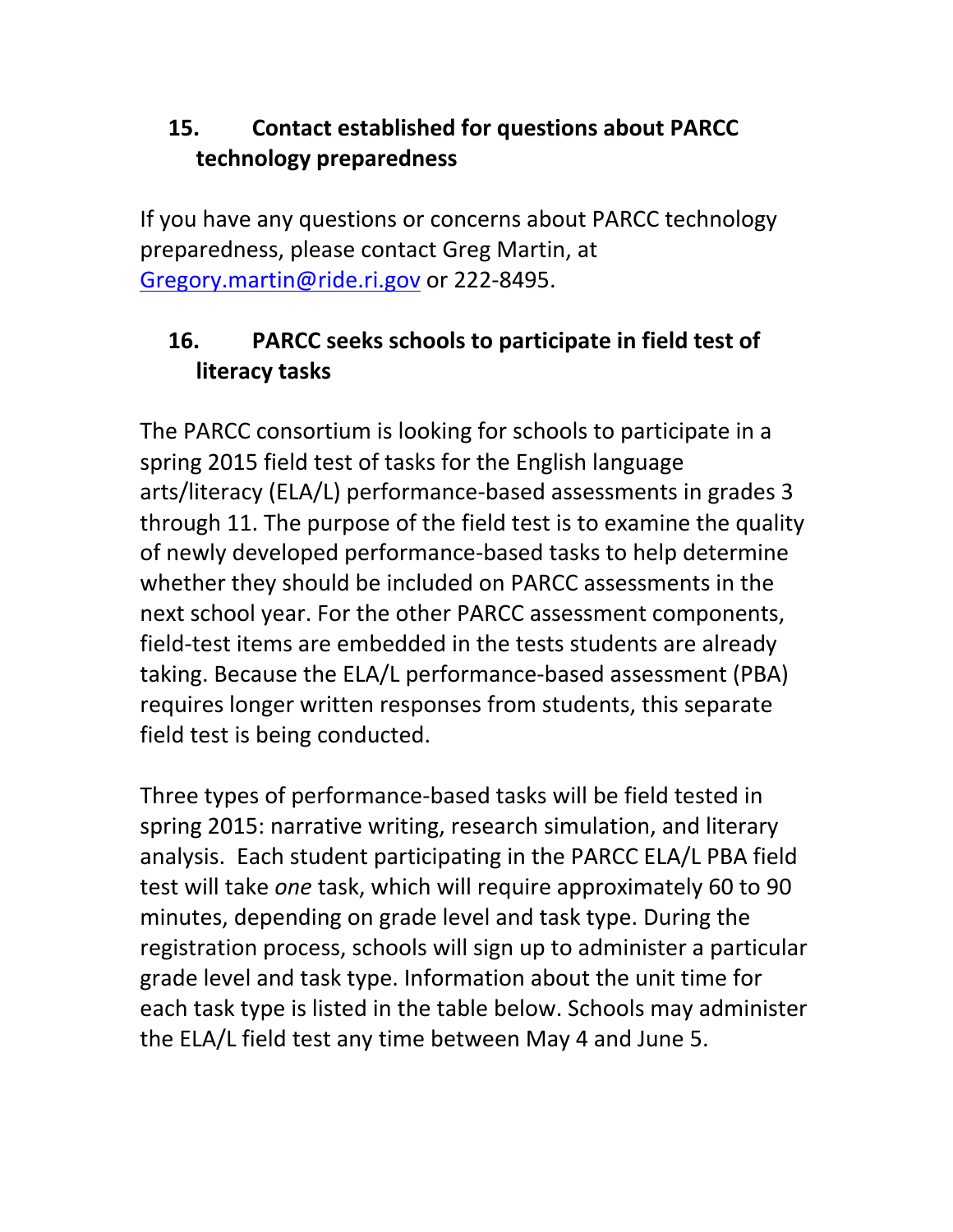# **15. Contact established for questions about PARCC technology preparedness**

If you have any questions or concerns about PARCC technology preparedness, please contact Greg Martin, at Gregory.martin@ride.ri.gov or 222‐8495.

# **16. PARCC seeks schools to participate in field test of literacy tasks**

The PARCC consortium is looking for schools to participate in a spring 2015 field test of tasks for the English language arts/literacy (ELA/L) performance‐based assessments in grades 3 through 11. The purpose of the field test is to examine the quality of newly developed performance‐based tasks to help determine whether they should be included on PARCC assessments in the next school year. For the other PARCC assessment components, field-test items are embedded in the tests students are already taking. Because the ELA/L performance‐based assessment (PBA) requires longer written responses from students, this separate field test is being conducted.

Three types of performance‐based tasks will be field tested in spring 2015: narrative writing, research simulation, and literary analysis. Each student participating in the PARCC ELA/L PBA field test will take *one* task, which will require approximately 60 to 90 minutes, depending on grade level and task type. During the registration process, schools will sign up to administer a particular grade level and task type. Information about the unit time for each task type is listed in the table below. Schools may administer the ELA/L field test any time between May 4 and June 5.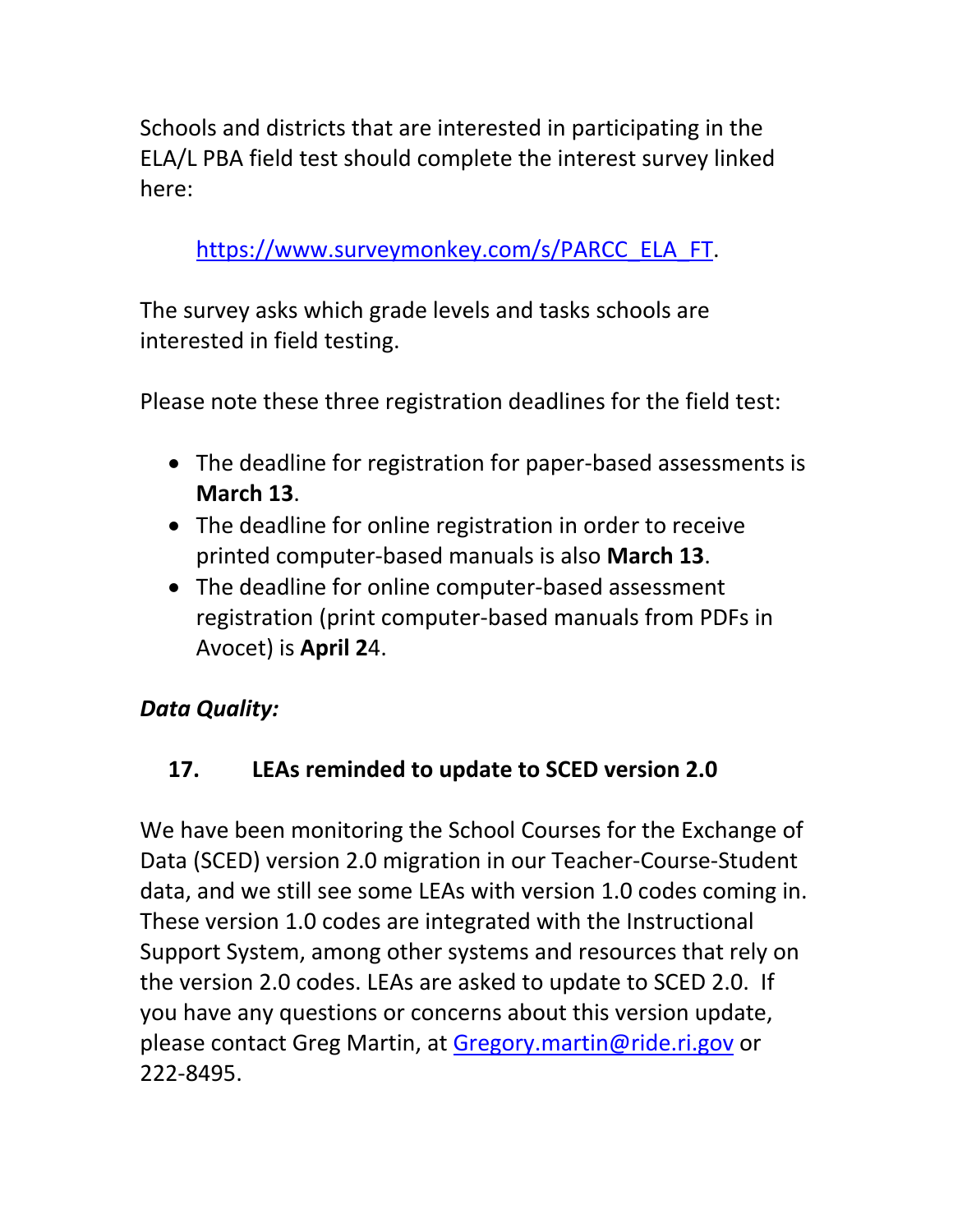Schools and districts that are interested in participating in the ELA/L PBA field test should complete the interest survey linked here:

https://www.surveymonkey.com/s/PARCC\_ELA\_FT.

The survey asks which grade levels and tasks schools are interested in field testing.

Please note these three registration deadlines for the field test:

- The deadline for registration for paper-based assessments is **March 13**.
- The deadline for online registration in order to receive printed computer‐based manuals is also **March 13**.
- The deadline for online computer-based assessment registration (print computer‐based manuals from PDFs in Avocet) is **April 2**4.

# *Data Quality:*

# **17. LEAs reminded to update to SCED version 2.0**

We have been monitoring the School Courses for the Exchange of Data (SCED) version 2.0 migration in our Teacher‐Course‐Student data, and we still see some LEAs with version 1.0 codes coming in. These version 1.0 codes are integrated with the Instructional Support System, among other systems and resources that rely on the version 2.0 codes. LEAs are asked to update to SCED 2.0. If you have any questions or concerns about this version update, please contact Greg Martin, at Gregory.martin@ride.ri.gov or 222‐8495.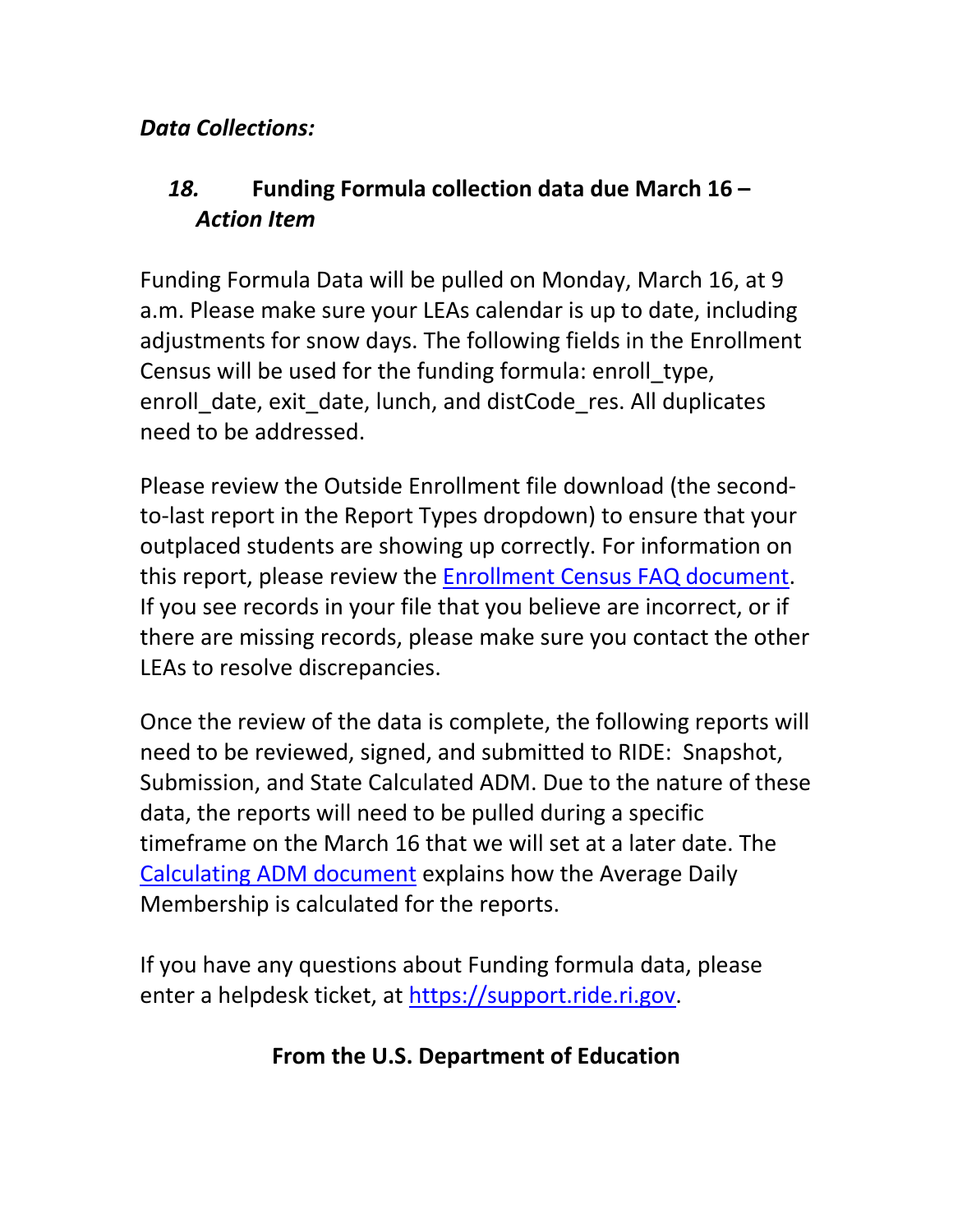### *Data Collections:*

## *18.* **Funding Formula collection data due March 16 –** *Action Item*

Funding Formula Data will be pulled on Monday, March 16, at 9 a.m. Please make sure your LEAs calendar is up to date, including adjustments for snow days. The following fields in the Enrollment Census will be used for the funding formula: enroll\_type, enroll date, exit date, lunch, and distCode res. All duplicates need to be addressed.

Please review the Outside Enrollment file download (the second‐ to‐last report in the Report Types dropdown) to ensure that your outplaced students are showing up correctly. For information on this report, please review the Enrollment Census FAQ document. If you see records in your file that you believe are incorrect, or if there are missing records, please make sure you contact the other LEAs to resolve discrepancies.

Once the review of the data is complete, the following reports will need to be reviewed, signed, and submitted to RIDE: Snapshot, Submission, and State Calculated ADM. Due to the nature of these data, the reports will need to be pulled during a specific timeframe on the March 16 that we will set at a later date. The Calculating ADM document explains how the Average Daily Membership is calculated for the reports.

If you have any questions about Funding formula data, please enter a helpdesk ticket, at https://support.ride.ri.gov.

#### **From the U.S. Department of Education**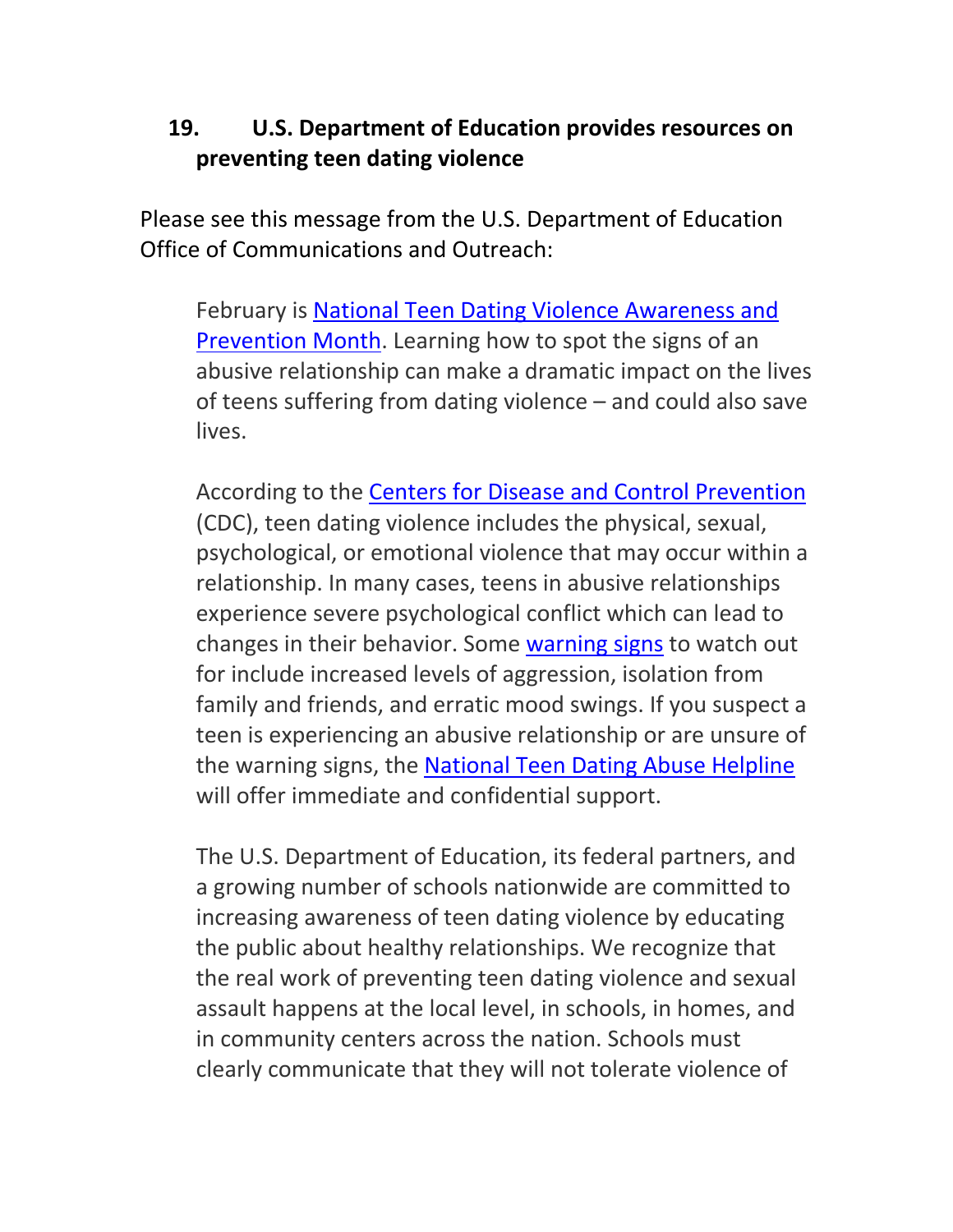## **19. U.S. Department of Education provides resources on preventing teen dating violence**

Please see this message from the U.S. Department of Education Office of Communications and Outreach:

February is National Teen Dating Violence Awareness and Prevention Month. Learning how to spot the signs of an abusive relationship can make a dramatic impact on the lives of teens suffering from dating violence – and could also save lives.

According to the Centers for Disease and Control Prevention (CDC), teen dating violence includes the physical, sexual, psychological, or emotional violence that may occur within a relationship. In many cases, teens in abusive relationships experience severe psychological conflict which can lead to changes in their behavior. Some warning signs to watch out for include increased levels of aggression, isolation from family and friends, and erratic mood swings. If you suspect a teen is experiencing an abusive relationship or are unsure of the warning signs, the National Teen Dating Abuse Helpline will offer immediate and confidential support.

The U.S. Department of Education, its federal partners, and a growing number of schools nationwide are committed to increasing awareness of teen dating violence by educating the public about healthy relationships. We recognize that the real work of preventing teen dating violence and sexual assault happens at the local level, in schools, in homes, and in community centers across the nation. Schools must clearly communicate that they will not tolerate violence of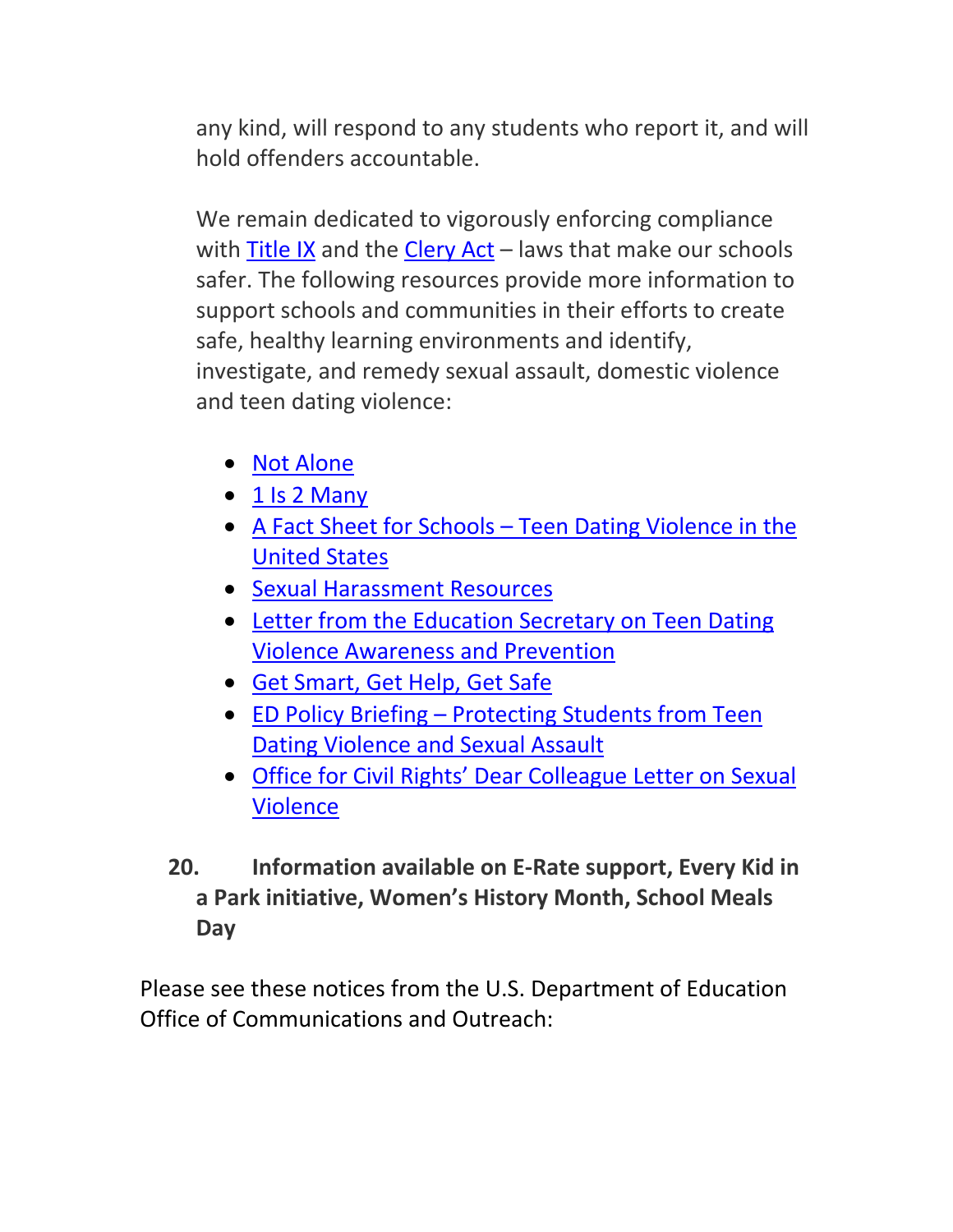any kind, will respond to any students who report it, and will hold offenders accountable.

We remain dedicated to vigorously enforcing compliance with Title IX and the Clery Act – laws that make our schools safer. The following resources provide more information to support schools and communities in their efforts to create safe, healthy learning environments and identify, investigate, and remedy sexual assault, domestic violence and teen dating violence:

- Not Alone
- $\bullet$  1 Is 2 Many
- A Fact Sheet for Schools Teen Dating Violence in the United States
- Sexual Harassment Resources
- Letter from the Education Secretary on Teen Dating Violence Awareness and Prevention
- Get Smart, Get Help, Get Safe
- ED Policy Briefing Protecting Students from Teen Dating Violence and Sexual Assault
- Office for Civil Rights' Dear Colleague Letter on Sexual Violence
- **20. Information available on E‐Rate support, Every Kid in a Park initiative, Women's History Month, School Meals Day**

Please see these notices from the U.S. Department of Education Office of Communications and Outreach: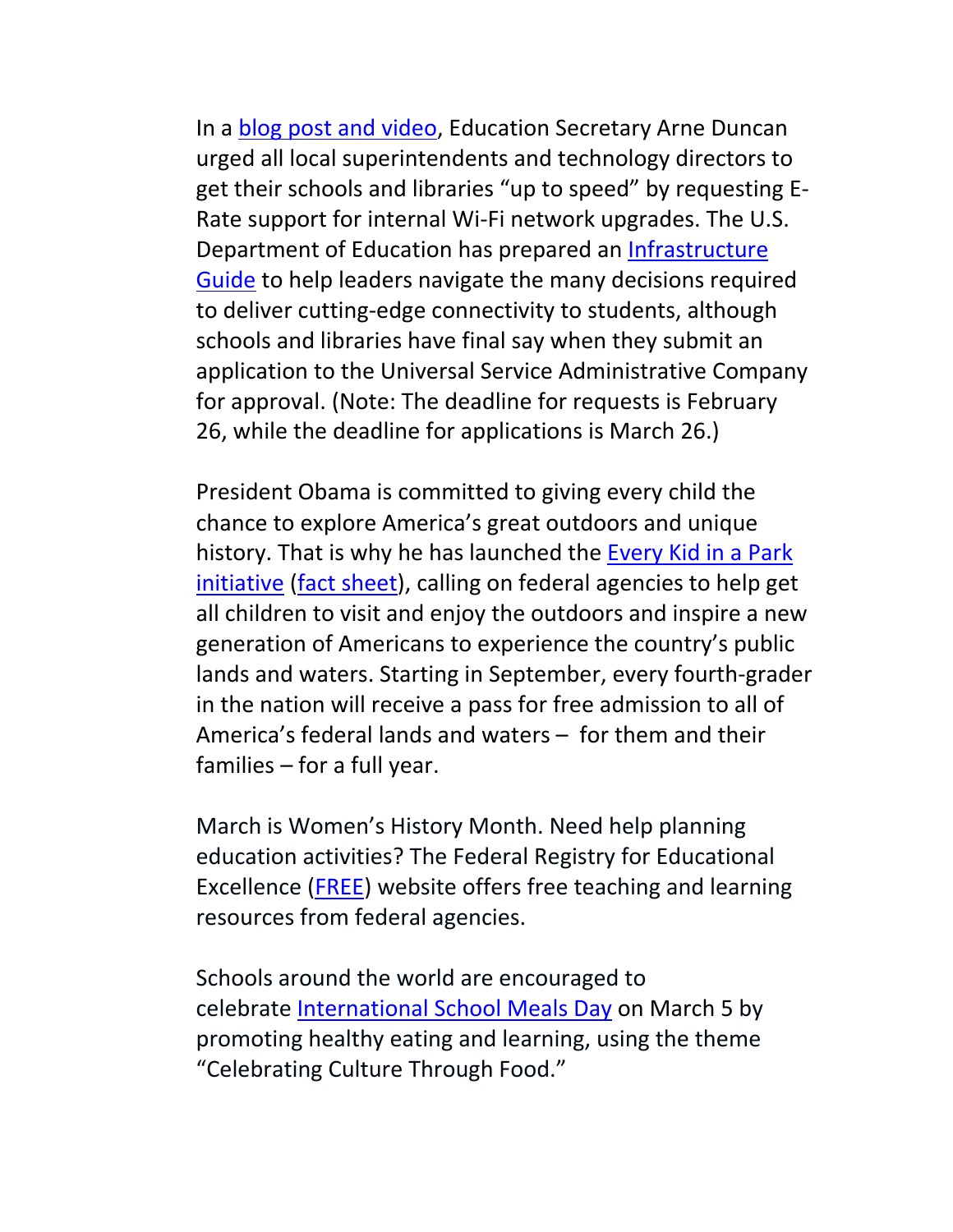In a blog post and video, Education Secretary Arne Duncan urged all local superintendents and technology directors to get their schools and libraries "up to speed" by requesting E‐ Rate support for internal Wi‐Fi network upgrades. The U.S. Department of Education has prepared an Infrastructure Guide to help leaders navigate the many decisions required to deliver cutting‐edge connectivity to students, although schools and libraries have final say when they submit an application to the Universal Service Administrative Company for approval. (Note: The deadline for requests is February 26, while the deadline for applications is March 26.)

President Obama is committed to giving every child the chance to explore America's great outdoors and unique history. That is why he has launched the Every Kid in a Park initiative (fact sheet), calling on federal agencies to help get all children to visit and enjoy the outdoors and inspire a new generation of Americans to experience the country's public lands and waters. Starting in September, every fourth‐grader in the nation will receive a pass for free admission to all of America's federal lands and waters – for them and their families – for a full year.

March is Women's History Month. Need help planning education activities? The Federal Registry for Educational Excellence (FREE) website offers free teaching and learning resources from federal agencies.

Schools around the world are encouraged to celebrate International School Meals Day on March 5 by promoting healthy eating and learning, using the theme "Celebrating Culture Through Food."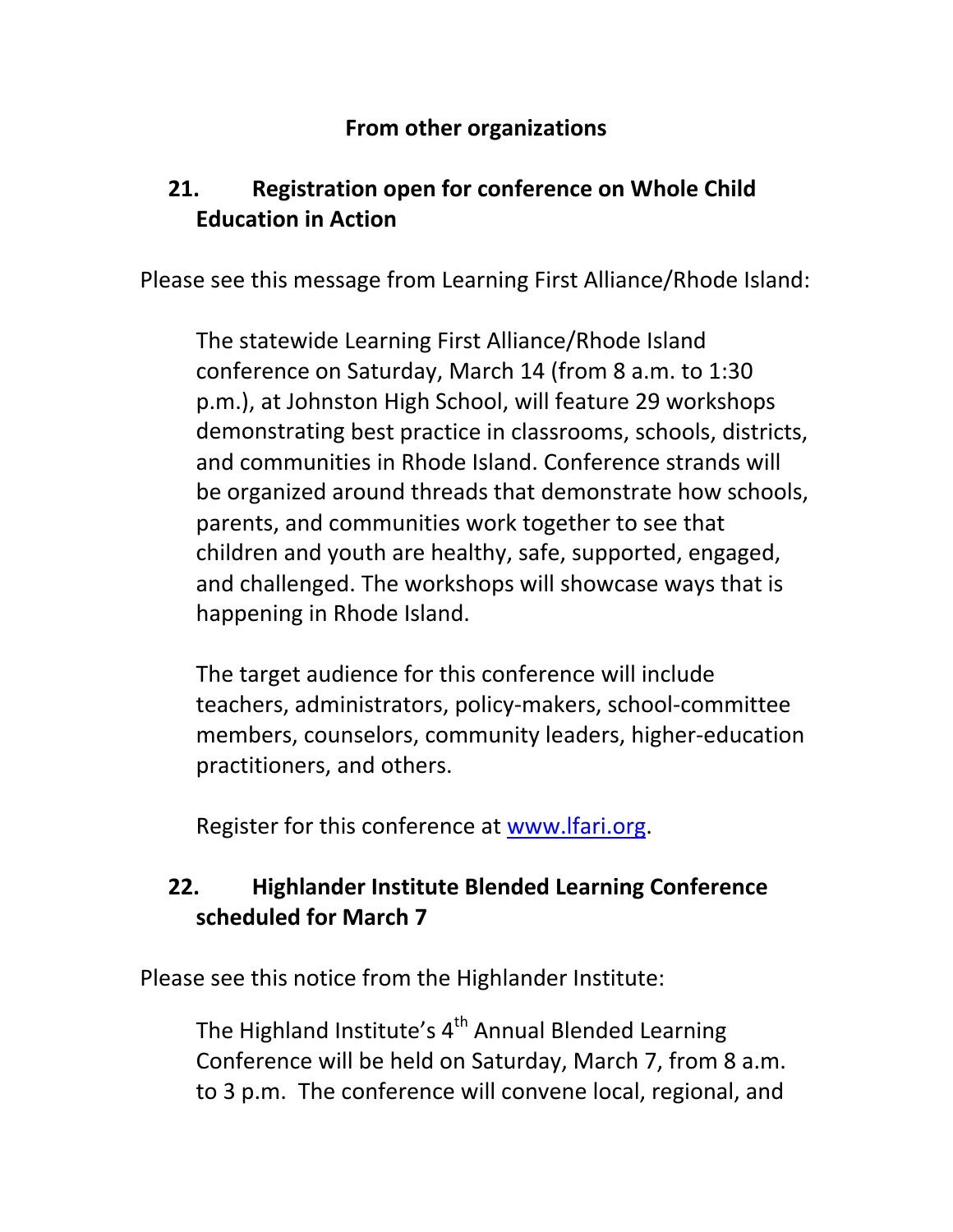#### **From other organizations**

## **21. Registration open for conference on Whole Child Education in Action**

Please see this message from Learning First Alliance/Rhode Island:

The statewide Learning First Alliance/Rhode Island conference on Saturday, March 14 (from 8 a.m. to 1:30 p.m.), at Johnston High School, will feature 29 workshops demonstrating best practice in classrooms, schools, districts, and communities in Rhode Island. Conference strands will be organized around threads that demonstrate how schools, parents, and communities work together to see that children and youth are healthy, safe, supported, engaged, and challenged. The workshops will showcase ways that is happening in Rhode Island.

The target audience for this conference will include teachers, administrators, policy‐makers, school‐committee members, counselors, community leaders, higher‐education practitioners, and others.

Register for this conference at www.lfari.org.

# **22. Highlander Institute Blended Learning Conference scheduled for March 7**

Please see this notice from the Highlander Institute:

The Highland Institute's 4<sup>th</sup> Annual Blended Learning Conference will be held on Saturday, March 7, from 8 a.m. to 3 p.m. The conference will convene local, regional, and